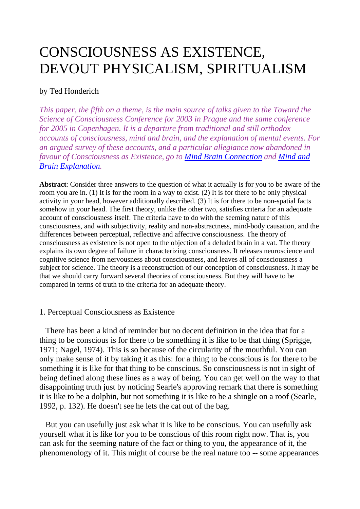# CONSCIOUSNESS AS EXISTENCE, DEVOUT PHYSICALISM, SPIRITUALISM

#### by Ted Honderich

*This paper, the fifth on a theme, is the main source of talks given to the Toward the Science of Consciousness Conference for 2003 in Prague and the same conference for 2005 in Copenhagen. It is a departure from traditional and still orthodox accounts of consciousness, mind and brain, and the explanation of mental events. For an argued survey of these accounts, and a particular allegiance now abandoned in favour of Consciousness as Existence, go to Mind Brain Connection and Mind and Brain Explanation.*

**Abstract**: Consider three answers to the question of what it actually is for you to be aware of the room you are in. (1) It is for the room in a way to exist. (2) It is for there to be only physical activity in your head, however additionally described. (3) It is for there to be non-spatial facts somehow in your head. The first theory, unlike the other two, satisfies criteria for an adequate account of consciousness itself. The criteria have to do with the seeming nature of this consciousness, and with subjectivity, reality and non-abstractness, mind-body causation, and the differences between perceptual, reflective and affective consciousness. The theory of consciousness as existence is not open to the objection of a deluded brain in a vat. The theory explains its own degree of failure in characterizing consciousness. It releases neuroscience and cognitive science from nervousness about consciousness, and leaves all of consciousness a subject for science. The theory is a reconstruction of our conception of consciousness. It may be that we should carry forward several theories of consciousness. But they will have to be compared in terms of truth to the criteria for an adequate theory.

#### 1. Perceptual Consciousness as Existence

 There has been a kind of reminder but no decent definition in the idea that for a thing to be conscious is for there to be something it is like to be that thing (Sprigge, 1971; Nagel, 1974). This is so because of the circularity of the mouthful. You can only make sense of it by taking it as this: for a thing to be conscious is for there to be something it is like for that thing to be conscious. So consciousness is not in sight of being defined along these lines as a way of being. You can get well on the way to that disappointing truth just by noticing Searle's approving remark that there is something it is like to be a dolphin, but not something it is like to be a shingle on a roof (Searle, 1992, p. 132). He doesn't see he lets the cat out of the bag.

 But you can usefully just ask what it is like to be conscious. You can usefully ask yourself what it is like for you to be conscious of this room right now. That is, you can ask for the seeming nature of the fact or thing to you, the appearance of it, the phenomenology of it. This might of course be the real nature too -- some appearances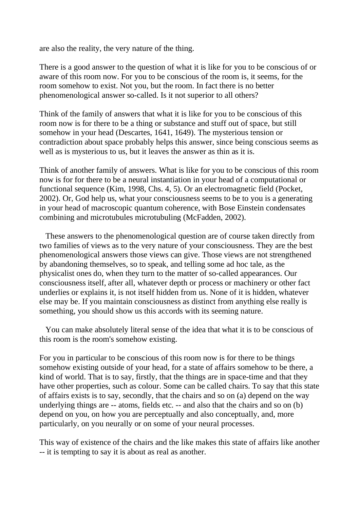are also the reality, the very nature of the thing.

There is a good answer to the question of what it is like for you to be conscious of or aware of this room now. For you to be conscious of the room is, it seems, for the room somehow to exist. Not you, but the room. In fact there is no better phenomenological answer so-called. Is it not superior to all others?

Think of the family of answers that what it is like for you to be conscious of this room now is for there to be a thing or substance and stuff out of space, but still somehow in your head (Descartes, 1641, 1649). The mysterious tension or contradiction about space probably helps this answer, since being conscious seems as well as is mysterious to us, but it leaves the answer as thin as it is.

Think of another family of answers. What is like for you to be conscious of this room now is for for there to be a neural instantiation in your head of a computational or functional sequence (Kim, 1998, Chs. 4, 5). Or an electromagnetic field (Pocket, 2002). Or, God help us, what your consciousness seems to be to you is a generating in your head of macroscopic quantum coherence, with Bose Einstein condensates combining and microtubules microtubuling (McFadden, 2002).

 These answers to the phenomenological question are of course taken directly from two families of views as to the very nature of your consciousness. They are the best phenomenological answers those views can give. Those views are not strengthened by abandoning themselves, so to speak, and telling some ad hoc tale, as the physicalist ones do, when they turn to the matter of so-called appearances. Our consciousness itself, after all, whatever depth or process or machinery or other fact underlies or explains it, is not itself hidden from us. None of it is hidden, whatever else may be. If you maintain consciousness as distinct from anything else really is something, you should show us this accords with its seeming nature.

 You can make absolutely literal sense of the idea that what it is to be conscious of this room is the room's somehow existing.

For you in particular to be conscious of this room now is for there to be things somehow existing outside of your head, for a state of affairs somehow to be there, a kind of world. That is to say, firstly, that the things are in space-time and that they have other properties, such as colour. Some can be called chairs. To say that this state of affairs exists is to say, secondly, that the chairs and so on (a) depend on the way underlying things are -- atoms, fields etc. -- and also that the chairs and so on (b) depend on you, on how you are perceptually and also conceptually, and, more particularly, on you neurally or on some of your neural processes.

This way of existence of the chairs and the like makes this state of affairs like another -- it is tempting to say it is about as real as another.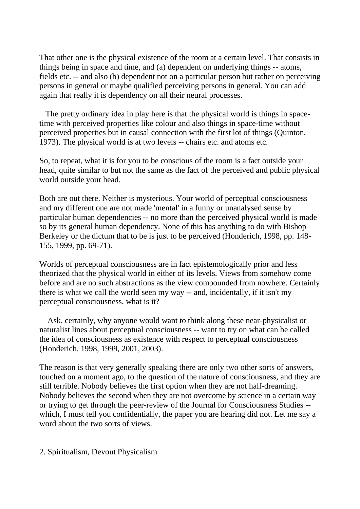That other one is the physical existence of the room at a certain level. That consists in things being in space and time, and (a) dependent on underlying things -- atoms, fields etc. -- and also (b) dependent not on a particular person but rather on perceiving persons in general or maybe qualified perceiving persons in general. You can add again that really it is dependency on all their neural processes.

 The pretty ordinary idea in play here is that the physical world is things in spacetime with perceived properties like colour and also things in space-time without perceived properties but in causal connection with the first lot of things (Quinton, 1973). The physical world is at two levels -- chairs etc. and atoms etc.

So, to repeat, what it is for you to be conscious of the room is a fact outside your head, quite similar to but not the same as the fact of the perceived and public physical world outside your head.

Both are out there. Neither is mysterious. Your world of perceptual consciousness and my different one are not made 'mental' in a funny or unanalysed sense by particular human dependencies -- no more than the perceived physical world is made so by its general human dependency. None of this has anything to do with Bishop Berkeley or the dictum that to be is just to be perceived (Honderich, 1998, pp. 148- 155, 1999, pp. 69-71).

Worlds of perceptual consciousness are in fact epistemologically prior and less theorized that the physical world in either of its levels. Views from somehow come before and are no such abstractions as the view compounded from nowhere. Certainly there is what we call the world seen my way -- and, incidentally, if it isn't my perceptual consciousness, what is it?

 Ask, certainly, why anyone would want to think along these near-physicalist or naturalist lines about perceptual consciousness -- want to try on what can be called the idea of consciousness as existence with respect to perceptual consciousness (Honderich, 1998, 1999, 2001, 2003).

The reason is that very generally speaking there are only two other sorts of answers, touched on a moment ago, to the question of the nature of consciousness, and they are still terrible. Nobody believes the first option when they are not half-dreaming. Nobody believes the second when they are not overcome by science in a certain way or trying to get through the peer-review of the Journal for Consciousness Studies - which, I must tell you confidentially, the paper you are hearing did not. Let me say a word about the two sorts of views.

#### 2. Spiritualism, Devout Physicalism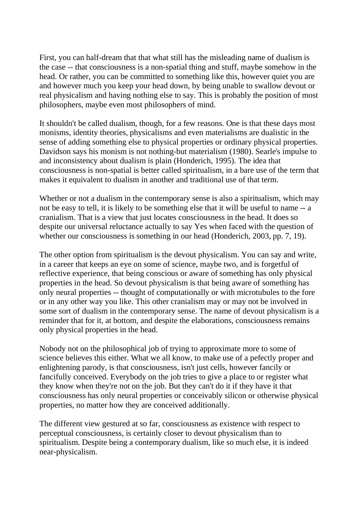First, you can half-dream that that what still has the misleading name of dualism is the case -- that consciousness is a non-spatial thing and stuff, maybe somehow in the head. Or rather, you can be committed to something like this, however quiet you are and however much you keep your head down, by being unable to swallow devout or real physicalism and having nothing else to say. This is probably the position of most philosophers, maybe even most philosophers of mind.

It shouldn't be called dualism, though, for a few reasons. One is that these days most monisms, identity theories, physicalisms and even materialisms are dualistic in the sense of adding something else to physical properties or ordinary physical properties. Davidson says his monism is not nothing-but materialism (1980). Searle's impulse to and inconsistency about dualism is plain (Honderich, 1995). The idea that consciousness is non-spatial is better called spiritualism, in a bare use of the term that makes it equivalent to dualism in another and traditional use of that term.

Whether or not a dualism in the contemporary sense is also a spiritualism, which may not be easy to tell, it is likely to be something else that it will be useful to name -- a cranialism. That is a view that just locates consciousness in the head. It does so despite our universal reluctance actually to say Yes when faced with the question of whether our consciousness is something in our head (Honderich, 2003, pp. 7, 19).

The other option from spiritualism is the devout physicalism. You can say and write, in a career that keeps an eye on some of science, maybe two, and is forgetful of reflective experience, that being conscious or aware of something has only physical properties in the head. So devout physicalism is that being aware of something has only neural properties -- thought of computationally or with microtubules to the fore or in any other way you like. This other cranialism may or may not be involved in some sort of dualism in the contemporary sense. The name of devout physicalism is a reminder that for it, at bottom, and despite the elaborations, consciousness remains only physical properties in the head.

Nobody not on the philosophical job of trying to approximate more to some of science believes this either. What we all know, to make use of a pefectly proper and enlightening parody, is that consciousness, isn't just cells, however fancily or fancifully conceived. Everybody on the job tries to give a place to or register what they know when they're not on the job. But they can't do it if they have it that consciousness has only neural properties or conceivably silicon or otherwise physical properties, no matter how they are conceived additionally.

The different view gestured at so far, consciousness as existence with respect to perceptual consciousness, is certainly closer to devout physicalism than to spiritualism. Despite being a contemporary dualism, like so much else, it is indeed near-physicalism.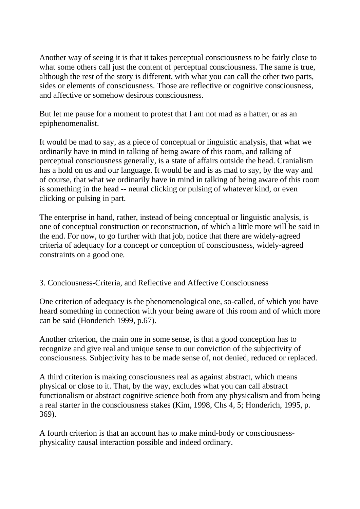Another way of seeing it is that it takes perceptual consciousness to be fairly close to what some others call just the content of perceptual consciousness. The same is true, although the rest of the story is different, with what you can call the other two parts, sides or elements of consciousness. Those are reflective or cognitive consciousness, and affective or somehow desirous consciousness.

But let me pause for a moment to protest that I am not mad as a hatter, or as an epiphenomenalist.

It would be mad to say, as a piece of conceptual or linguistic analysis, that what we ordinarily have in mind in talking of being aware of this room, and talking of perceptual consciousness generally, is a state of affairs outside the head. Cranialism has a hold on us and our language. It would be and is as mad to say, by the way and of course, that what we ordinarily have in mind in talking of being aware of this room is something in the head -- neural clicking or pulsing of whatever kind, or even clicking or pulsing in part.

The enterprise in hand, rather, instead of being conceptual or linguistic analysis, is one of conceptual construction or reconstruction, of which a little more will be said in the end. For now, to go further with that job, notice that there are widely-agreed criteria of adequacy for a concept or conception of consciousness, widely-agreed constraints on a good one.

# 3. Conciousness-Criteria, and Reflective and Affective Consciousness

One criterion of adequacy is the phenomenological one, so-called, of which you have heard something in connection with your being aware of this room and of which more can be said (Honderich 1999, p.67).

Another criterion, the main one in some sense, is that a good conception has to recognize and give real and unique sense to our conviction of the subjectivity of consciousness. Subjectivity has to be made sense of, not denied, reduced or replaced.

A third criterion is making consciousness real as against abstract, which means physical or close to it. That, by the way, excludes what you can call abstract functionalism or abstract cognitive science both from any physicalism and from being a real starter in the consciousness stakes (Kim, 1998, Chs 4, 5; Honderich, 1995, p. 369).

A fourth criterion is that an account has to make mind-body or consciousnessphysicality causal interaction possible and indeed ordinary.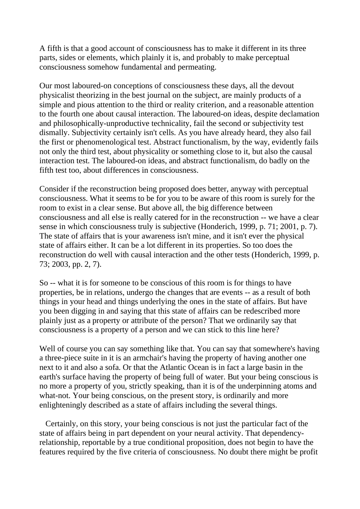A fifth is that a good account of consciousness has to make it different in its three parts, sides or elements, which plainly it is, and probably to make perceptual consciousness somehow fundamental and permeating.

Our most laboured-on conceptions of consciousness these days, all the devout physicalist theorizing in the best journal on the subject, are mainly products of a simple and pious attention to the third or reality criterion, and a reasonable attention to the fourth one about causal interaction. The laboured-on ideas, despite declamation and philosophically-unproductive technicality, fail the second or subjectivity test dismally. Subjectivity certainly isn't cells. As you have already heard, they also fail the first or phenomenological test. Abstract functionalism, by the way, evidently fails not only the third test, about physicality or something close to it, but also the causal interaction test. The laboured-on ideas, and abstract functionalism, do badly on the fifth test too, about differences in consciousness.

Consider if the reconstruction being proposed does better, anyway with perceptual consciousness. What it seems to be for you to be aware of this room is surely for the room to exist in a clear sense. But above all, the big difference between consciousness and all else is really catered for in the reconstruction -- we have a clear sense in which consciousness truly is subjective (Honderich, 1999, p. 71; 2001, p. 7). The state of affairs that is your awareness isn't mine, and it isn't ever the physical state of affairs either. It can be a lot different in its properties. So too does the reconstruction do well with causal interaction and the other tests (Honderich, 1999, p. 73; 2003, pp. 2, 7).

So -- what it is for someone to be conscious of this room is for things to have properties, be in relations, undergo the changes that are events -- as a result of both things in your head and things underlying the ones in the state of affairs. But have you been digging in and saying that this state of affairs can be redescribed more plainly just as a property or attribute of the person? That we ordinarily say that consciousness is a property of a person and we can stick to this line here?

Well of course you can say something like that. You can say that somewhere's having a three-piece suite in it is an armchair's having the property of having another one next to it and also a sofa. Or that the Atlantic Ocean is in fact a large basin in the earth's surface having the property of being full of water. But your being conscious is no more a property of you, strictly speaking, than it is of the underpinning atoms and what-not. Your being conscious, on the present story, is ordinarily and more enlighteningly described as a state of affairs including the several things.

 Certainly, on this story, your being conscious is not just the particular fact of the state of affairs being in part dependent on your neural activity. That dependencyrelationship, reportable by a true conditional proposition, does not begin to have the features required by the five criteria of consciousness. No doubt there might be profit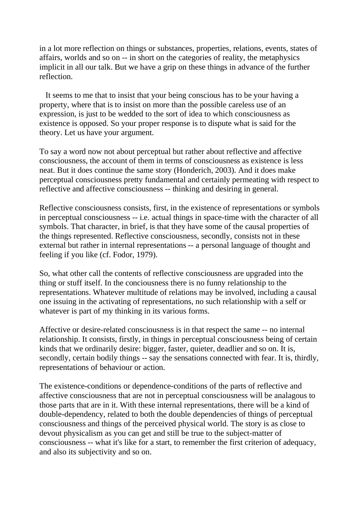in a lot more reflection on things or substances, properties, relations, events, states of affairs, worlds and so on -- in short on the categories of reality, the metaphysics implicit in all our talk. But we have a grip on these things in advance of the further reflection.

 It seems to me that to insist that your being conscious has to be your having a property, where that is to insist on more than the possible careless use of an expression, is just to be wedded to the sort of idea to which consciousness as existence is opposed. So your proper response is to dispute what is said for the theory. Let us have your argument.

To say a word now not about perceptual but rather about reflective and affective consciousness, the account of them in terms of consciousness as existence is less neat. But it does continue the same story (Honderich, 2003). And it does make perceptual consciousness pretty fundamental and certainly permeating with respect to reflective and affective consciousness -- thinking and desiring in general.

Reflective consciousness consists, first, in the existence of representations or symbols in perceptual consciousness -- i.e. actual things in space-time with the character of all symbols. That character, in brief, is that they have some of the causal properties of the things represented. Reflective consciousness, secondly, consists not in these external but rather in internal representations -- a personal language of thought and feeling if you like (cf. Fodor, 1979).

So, what other call the contents of reflective consciousness are upgraded into the thing or stuff itself. In the conciousness there is no funny relationship to the representations. Whatever multitude of relations may be involved, including a causal one issuing in the activating of representations, no such relationship with a self or whatever is part of my thinking in its various forms.

Affective or desire-related consciousness is in that respect the same -- no internal relationship. It consists, firstly, in things in perceptual consciousness being of certain kinds that we ordinarily desire: bigger, faster, quieter, deadlier and so on. It is, secondly, certain bodily things -- say the sensations connected with fear. It is, thirdly, representations of behaviour or action.

The existence-conditions or dependence-conditions of the parts of reflective and affective consciousness that are not in perceptual consciousness will be analagous to those parts that are in it. With these internal representations, there will be a kind of double-dependency, related to both the double dependencies of things of perceptual consciousness and things of the perceived physical world. The story is as close to devout physicalism as you can get and still be true to the subject-matter of consciousness -- what it's like for a start, to remember the first criterion of adequacy, and also its subjectivity and so on.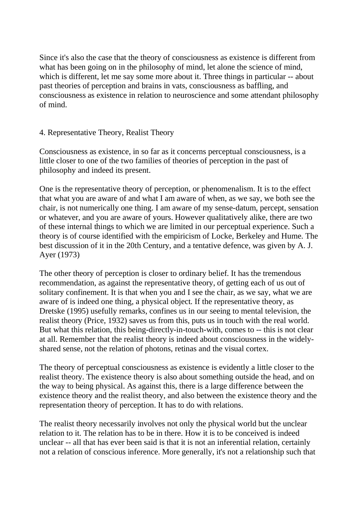Since it's also the case that the theory of consciousness as existence is different from what has been going on in the philosophy of mind, let alone the science of mind, which is different, let me say some more about it. Three things in particular -- about past theories of perception and brains in vats, consciousness as baffling, and consciousness as existence in relation to neuroscience and some attendant philosophy of mind.

## 4. Representative Theory, Realist Theory

Consciousness as existence, in so far as it concerns perceptual consciousness, is a little closer to one of the two families of theories of perception in the past of philosophy and indeed its present.

One is the representative theory of perception, or phenomenalism. It is to the effect that what you are aware of and what I am aware of when, as we say, we both see the chair, is not numerically one thing. I am aware of my sense-datum, percept, sensation or whatever, and you are aware of yours. However qualitatively alike, there are two of these internal things to which we are limited in our perceptual experience. Such a theory is of course identified with the empiricism of Locke, Berkeley and Hume. The best discussion of it in the 20th Century, and a tentative defence, was given by A. J. Ayer (1973)

The other theory of perception is closer to ordinary belief. It has the tremendous recommendation, as against the representative theory, of getting each of us out of solitary confinement. It is that when you and I see the chair, as we say, what we are aware of is indeed one thing, a physical object. If the representative theory, as Dretske (1995) usefully remarks, confines us in our seeing to mental television, the realist theory (Price, 1932) saves us from this, puts us in touch with the real world. But what this relation, this being-directly-in-touch-with, comes to -- this is not clear at all. Remember that the realist theory is indeed about consciousness in the widelyshared sense, not the relation of photons, retinas and the visual cortex.

The theory of perceptual consciousness as existence is evidently a little closer to the realist theory. The existence theory is also about something outside the head, and on the way to being physical. As against this, there is a large difference between the existence theory and the realist theory, and also between the existence theory and the representation theory of perception. It has to do with relations.

The realist theory necessarily involves not only the physical world but the unclear relation to it. The relation has to be in there. How it is to be conceived is indeed unclear -- all that has ever been said is that it is not an inferential relation, certainly not a relation of conscious inference. More generally, it's not a relationship such that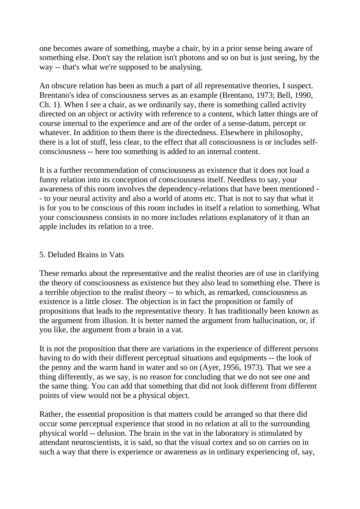one becomes aware of something, maybe a chair, by in a prior sense being aware of something else. Don't say the relation isn't photons and so on but is just seeing, by the way -- that's what we're supposed to be analysing.

An obscure relation has been as much a part of all representative theories, I suspect. Brentano's idea of consciousness serves as an example (Brentano, 1973; Bell, 1990, Ch. 1). When I see a chair, as we ordinarily say, there is something called activity directed on an object or activity with reference to a content, which latter things are of course internal to the experience and are of the order of a sense-datum, percept or whatever. In addition to them there is the directedness. Elsewhere in philosophy, there is a lot of stuff, less clear, to the effect that all consciousness is or includes selfconsciousness -- here too something is added to an internal content.

It is a further recommendation of consciousness as existence that it does not load a funny relation into its conception of consciousness itself. Needless to say, your awareness of this room involves the dependency-relations that have been mentioned - - to your neural activity and also a world of atoms etc. That is not to say that what it is for you to be conscious of this room includes in itself a relation to something. What your consciousness consists in no more includes relations explanatory of it than an apple includes its relation to a tree.

### 5. Deluded Brains in Vats

These remarks about the representative and the realist theories are of use in clarifying the theory of consciousness as existence but they also lead to something else. There is a terrible objection to the realist theory -- to which, as remarked, consciousness as existence is a little closer. The objection is in fact the proposition or family of propositions that leads to the representative theory. It has traditionally been known as the argument from illusion. It is better named the argument from hallucination, or, if you like, the argument from a brain in a vat.

It is not the proposition that there are variations in the experience of different persons having to do with their different perceptual situations and equipments -- the look of the penny and the warm hand in water and so on (Ayer, 1956, 1973). That we see a thing differently, as we say, is no reason for concluding that we do not see one and the same thing. You can add that something that did not look different from different points of view would not be a physical object.

Rather, the essential proposition is that matters could be arranged so that there did occur some perceptual experience that stood in no relation at all to the surrounding physical world -- delusion. The brain in the vat in the laboratory is stimulated by attendant neuroscientists, it is said, so that the visual cortex and so on carries on in such a way that there is experience or awareness as in ordinary experiencing of, say,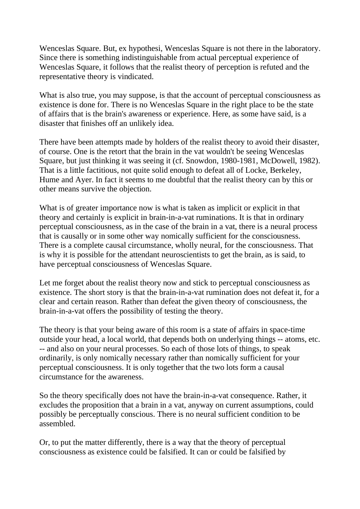Wenceslas Square. But, ex hypothesi, Wenceslas Square is not there in the laboratory. Since there is something indistinguishable from actual perceptual experience of Wenceslas Square, it follows that the realist theory of perception is refuted and the representative theory is vindicated.

What is also true, you may suppose, is that the account of perceptual consciousness as existence is done for. There is no Wenceslas Square in the right place to be the state of affairs that is the brain's awareness or experience. Here, as some have said, is a disaster that finishes off an unlikely idea.

There have been attempts made by holders of the realist theory to avoid their disaster, of course. One is the retort that the brain in the vat wouldn't be seeing Wenceslas Square, but just thinking it was seeing it (cf. Snowdon, 1980-1981, McDowell, 1982). That is a little factitious, not quite solid enough to defeat all of Locke, Berkeley, Hume and Ayer. In fact it seems to me doubtful that the realist theory can by this or other means survive the objection.

What is of greater importance now is what is taken as implicit or explicit in that theory and certainly is explicit in brain-in-a-vat ruminations. It is that in ordinary perceptual consciousness, as in the case of the brain in a vat, there is a neural process that is causally or in some other way nomically sufficient for the consciousness. There is a complete causal circumstance, wholly neural, for the consciousness. That is why it is possible for the attendant neuroscientists to get the brain, as is said, to have perceptual consciousness of Wenceslas Square.

Let me forget about the realist theory now and stick to perceptual consciousness as existence. The short story is that the brain-in-a-vat rumination does not defeat it, for a clear and certain reason. Rather than defeat the given theory of consciousness, the brain-in-a-vat offers the possibility of testing the theory.

The theory is that your being aware of this room is a state of affairs in space-time outside your head, a local world, that depends both on underlying things -- atoms, etc. -- and also on your neural processes. So each of those lots of things, to speak ordinarily, is only nomically necessary rather than nomically sufficient for your perceptual consciousness. It is only together that the two lots form a causal circumstance for the awareness.

So the theory specifically does not have the brain-in-a-vat consequence. Rather, it excludes the proposition that a brain in a vat, anyway on current assumptions, could possibly be perceptually conscious. There is no neural sufficient condition to be assembled.

Or, to put the matter differently, there is a way that the theory of perceptual consciousness as existence could be falsified. It can or could be falsified by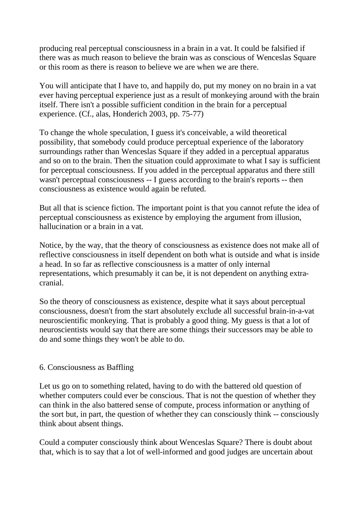producing real perceptual consciousness in a brain in a vat. It could be falsified if there was as much reason to believe the brain was as conscious of Wenceslas Square or this room as there is reason to believe we are when we are there.

You will anticipate that I have to, and happily do, put my money on no brain in a vat ever having perceptual experience just as a result of monkeying around with the brain itself. There isn't a possible sufficient condition in the brain for a perceptual experience. (Cf., alas, Honderich 2003, pp. 75-77)

To change the whole speculation, I guess it's conceivable, a wild theoretical possibility, that somebody could produce perceptual experience of the laboratory surroundings rather than Wenceslas Square if they added in a perceptual apparatus and so on to the brain. Then the situation could approximate to what I say is sufficient for perceptual consciousness. If you added in the perceptual apparatus and there still wasn't perceptual consciousness -- I guess according to the brain's reports -- then consciousness as existence would again be refuted.

But all that is science fiction. The important point is that you cannot refute the idea of perceptual consciousness as existence by employing the argument from illusion, hallucination or a brain in a vat.

Notice, by the way, that the theory of consciousness as existence does not make all of reflective consciousness in itself dependent on both what is outside and what is inside a head. In so far as reflective consciousness is a matter of only internal representations, which presumably it can be, it is not dependent on anything extracranial.

So the theory of consciousness as existence, despite what it says about perceptual consciousness, doesn't from the start absolutely exclude all successful brain-in-a-vat neuroscientific monkeying. That is probably a good thing. My guess is that a lot of neuroscientists would say that there are some things their successors may be able to do and some things they won't be able to do.

# 6. Consciousness as Baffling

Let us go on to something related, having to do with the battered old question of whether computers could ever be conscious. That is not the question of whether they can think in the also battered sense of compute, process information or anything of the sort but, in part, the question of whether they can consciously think -- consciously think about absent things.

Could a computer consciously think about Wenceslas Square? There is doubt about that, which is to say that a lot of well-informed and good judges are uncertain about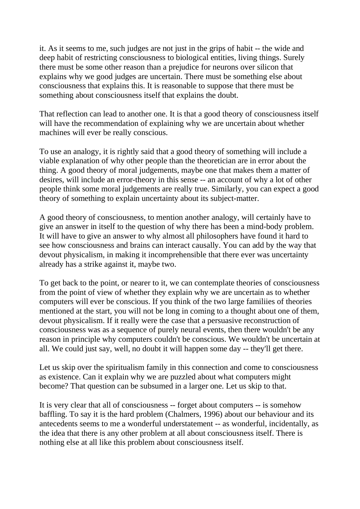it. As it seems to me, such judges are not just in the grips of habit -- the wide and deep habit of restricting consciousness to biological entities, living things. Surely there must be some other reason than a prejudice for neurons over silicon that explains why we good judges are uncertain. There must be something else about consciousness that explains this. It is reasonable to suppose that there must be something about consciousness itself that explains the doubt.

That reflection can lead to another one. It is that a good theory of consciousness itself will have the recommendation of explaining why we are uncertain about whether machines will ever be really conscious.

To use an analogy, it is rightly said that a good theory of something will include a viable explanation of why other people than the theoretician are in error about the thing. A good theory of moral judgements, maybe one that makes them a matter of desires, will include an error-theory in this sense -- an account of why a lot of other people think some moral judgements are really true. Similarly, you can expect a good theory of something to explain uncertainty about its subject-matter.

A good theory of consciousness, to mention another analogy, will certainly have to give an answer in itself to the question of why there has been a mind-body problem. It will have to give an answer to why almost all philosophers have found it hard to see how consciousness and brains can interact causally. You can add by the way that devout physicalism, in making it incomprehensible that there ever was uncertainty already has a strike against it, maybe two.

To get back to the point, or nearer to it, we can contemplate theories of consciousness from the point of view of whether they explain why we are uncertain as to whether computers will ever be conscious. If you think of the two large familiies of theories mentioned at the start, you will not be long in coming to a thought about one of them, devout physicalism. If it really were the case that a persuasive reconstruction of consciousness was as a sequence of purely neural events, then there wouldn't be any reason in principle why computers couldn't be conscious. We wouldn't be uncertain at all. We could just say, well, no doubt it will happen some day -- they'll get there.

Let us skip over the spiritualism family in this connection and come to consciousness as existence. Can it explain why we are puzzled about what computers might become? That question can be subsumed in a larger one. Let us skip to that.

It is very clear that all of consciousness -- forget about computers -- is somehow baffling. To say it is the hard problem (Chalmers, 1996) about our behaviour and its antecedents seems to me a wonderful understatement -- as wonderful, incidentally, as the idea that there is any other problem at all about consciousness itself. There is nothing else at all like this problem about consciousness itself.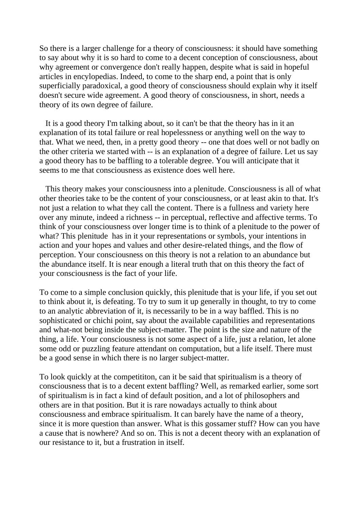So there is a larger challenge for a theory of consciousness: it should have something to say about why it is so hard to come to a decent conception of consciousness, about why agreement or convergence don't really happen, despite what is said in hopeful articles in encylopedias. Indeed, to come to the sharp end, a point that is only superficially paradoxical, a good theory of consciousness should explain why it itself doesn't secure wide agreement. A good theory of consciousness, in short, needs a theory of its own degree of failure.

 It is a good theory I'm talking about, so it can't be that the theory has in it an explanation of its total failure or real hopelessness or anything well on the way to that. What we need, then, in a pretty good theory -- one that does well or not badly on the other criteria we started with -- is an explanation of a degree of failure. Let us say a good theory has to be baffling to a tolerable degree. You will anticipate that it seems to me that consciousness as existence does well here.

 This theory makes your consciousness into a plenitude. Consciousness is all of what other theories take to be the content of your consciousness, or at least akin to that. It's not just a relation to what they call the content. There is a fullness and variety here over any minute, indeed a richness -- in perceptual, reflective and affective terms. To think of your consciousness over longer time is to think of a plenitude to the power of what? This plenitude has in it your representations or symbols, your intentions in action and your hopes and values and other desire-related things, and the flow of perception. Your consciousness on this theory is not a relation to an abundance but the abundance itself. It is near enough a literal truth that on this theory the fact of your consciousness is the fact of your life.

To come to a simple conclusion quickly, this plenitude that is your life, if you set out to think about it, is defeating. To try to sum it up generally in thought, to try to come to an analytic abbreviation of it, is necessarily to be in a way baffled. This is no sophisticated or chichi point, say about the available capabilities and representations and what-not being inside the subject-matter. The point is the size and nature of the thing, a life. Your consciousness is not some aspect of a life, just a relation, let alone some odd or puzzling feature attendant on computation, but a life itself. There must be a good sense in which there is no larger subject-matter.

To look quickly at the competititon, can it be said that spiritualism is a theory of consciousness that is to a decent extent baffling? Well, as remarked earlier, some sort of spiritualism is in fact a kind of default position, and a lot of philosophers and others are in that position. But it is rare nowadays actually to think about consciousness and embrace spiritualism. It can barely have the name of a theory, since it is more question than answer. What is this gossamer stuff? How can you have a cause that is nowhere? And so on. This is not a decent theory with an explanation of our resistance to it, but a frustration in itself.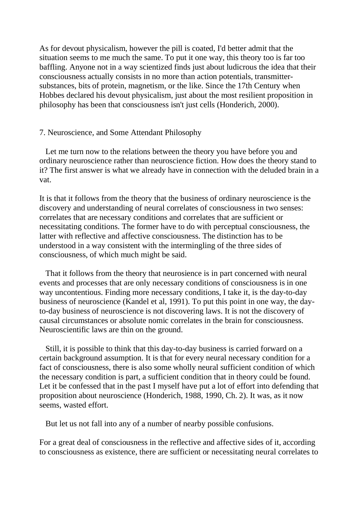As for devout physicalism, however the pill is coated, I'd better admit that the situation seems to me much the same. To put it one way, this theory too is far too baffling. Anyone not in a way scientized finds just about ludicrous the idea that their consciousness actually consists in no more than action potentials, transmittersubstances, bits of protein, magnetism, or the like. Since the 17th Century when Hobbes declared his devout physicalism, just about the most resilient proposition in philosophy has been that consciousness isn't just cells (Honderich, 2000).

#### 7. Neuroscience, and Some Attendant Philosophy

 Let me turn now to the relations between the theory you have before you and ordinary neuroscience rather than neuroscience fiction. How does the theory stand to it? The first answer is what we already have in connection with the deluded brain in a vat.

It is that it follows from the theory that the business of ordinary neuroscience is the discovery and understanding of neural correlates of consciousness in two senses: correlates that are necessary conditions and correlates that are sufficient or necessitating conditions. The former have to do with perceptual consciousness, the latter with reflective and affective consciousness. The distinction has to be understood in a way consistent with the intermingling of the three sides of consciousness, of which much might be said.

 That it follows from the theory that neurosience is in part concerned with neural events and processes that are only necessary conditions of consciousness is in one way uncontentious. Finding more necessary conditions, I take it, is the day-to-day business of neuroscience (Kandel et al, 1991). To put this point in one way, the dayto-day business of neuroscience is not discovering laws. It is not the discovery of causal circumstances or absolute nomic correlates in the brain for consciousness. Neuroscientific laws are thin on the ground.

 Still, it is possible to think that this day-to-day business is carried forward on a certain background assumption. It is that for every neural necessary condition for a fact of consciousness, there is also some wholly neural sufficient condition of which the necessary condition is part, a sufficient condition that in theory could be found. Let it be confessed that in the past I myself have put a lot of effort into defending that proposition about neuroscience (Honderich, 1988, 1990, Ch. 2). It was, as it now seems, wasted effort.

But let us not fall into any of a number of nearby possible confusions.

For a great deal of consciousness in the reflective and affective sides of it, according to consciousness as existence, there are sufficient or necessitating neural correlates to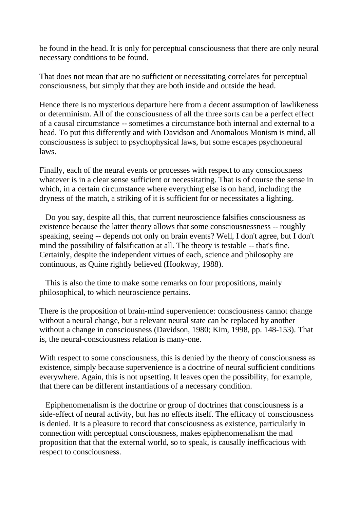be found in the head. It is only for perceptual consciousness that there are only neural necessary conditions to be found.

That does not mean that are no sufficient or necessitating correlates for perceptual consciousness, but simply that they are both inside and outside the head.

Hence there is no mysterious departure here from a decent assumption of lawlikeness or determinism. All of the consciousness of all the three sorts can be a perfect effect of a causal circumstance -- sometimes a circumstance both internal and external to a head. To put this differently and with Davidson and Anomalous Monism is mind, all consciousness is subject to psychophysical laws, but some escapes psychoneural laws.

Finally, each of the neural events or processes with respect to any consciousness whatever is in a clear sense sufficient or necessitating. That is of course the sense in which, in a certain circumstance where everything else is on hand, including the dryness of the match, a striking of it is sufficient for or necessitates a lighting.

 Do you say, despite all this, that current neuroscience falsifies consciousness as existence because the latter theory allows that some consciousnessness -- roughly speaking, seeing -- depends not only on brain events? Well, I don't agree, but I don't mind the possibility of falsification at all. The theory is testable -- that's fine. Certainly, despite the independent virtues of each, science and philosophy are continuous, as Quine rightly believed (Hookway, 1988).

 This is also the time to make some remarks on four propositions, mainly philosophical, to which neuroscience pertains.

There is the proposition of brain-mind supervenience: consciousness cannot change without a neural change, but a relevant neural state can be replaced by another without a change in consciousness (Davidson, 1980; Kim, 1998, pp. 148-153). That is, the neural-consciousness relation is many-one.

With respect to some consciousness, this is denied by the theory of consciousness as existence, simply because supervenience is a doctrine of neural sufficient conditions everywhere. Again, this is not upsetting. It leaves open the possibility, for example, that there can be different instantiations of a necessary condition.

 Epiphenomenalism is the doctrine or group of doctrines that consciousness is a side-effect of neural activity, but has no effects itself. The efficacy of consciousness is denied. It is a pleasure to record that consciousness as existence, particularly in connection with perceptual consciousness, makes epiphenomenalism the mad proposition that that the external world, so to speak, is causally inefficacious with respect to consciousness.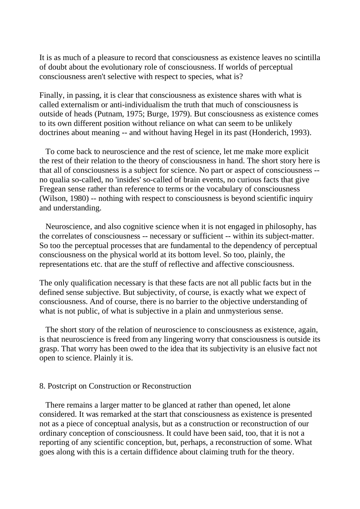It is as much of a pleasure to record that consciousness as existence leaves no scintilla of doubt about the evolutionary role of consciousness. If worlds of perceptual consciousness aren't selective with respect to species, what is?

Finally, in passing, it is clear that consciousness as existence shares with what is called externalism or anti-individualism the truth that much of consciousness is outside of heads (Putnam, 1975; Burge, 1979). But consciousness as existence comes to its own different position without reliance on what can seem to be unlikely doctrines about meaning -- and without having Hegel in its past (Honderich, 1993).

 To come back to neuroscience and the rest of science, let me make more explicit the rest of their relation to the theory of consciousness in hand. The short story here is that all of consciousness is a subject for science. No part or aspect of consciousness - no qualia so-called, no 'insides' so-called of brain events, no curious facts that give Fregean sense rather than reference to terms or the vocabulary of consciousness (Wilson, 1980) -- nothing with respect to consciousness is beyond scientific inquiry and understanding.

 Neuroscience, and also cognitive science when it is not engaged in philosophy, has the correlates of consciousness -- necessary or sufficient -- within its subject-matter. So too the perceptual processes that are fundamental to the dependency of perceptual consciousness on the physical world at its bottom level. So too, plainly, the representations etc. that are the stuff of reflective and affective consciousness.

The only qualification necessary is that these facts are not all public facts but in the defined sense subjective. But subjectivity, of course, is exactly what we expect of consciousness. And of course, there is no barrier to the objective understanding of what is not public, of what is subjective in a plain and unmysterious sense.

 The short story of the relation of neuroscience to consciousness as existence, again, is that neuroscience is freed from any lingering worry that consciousness is outside its grasp. That worry has been owed to the idea that its subjectivity is an elusive fact not open to science. Plainly it is.

#### 8. Postcript on Construction or Reconstruction

 There remains a larger matter to be glanced at rather than opened, let alone considered. It was remarked at the start that consciousness as existence is presented not as a piece of conceptual analysis, but as a construction or reconstruction of our ordinary conception of consciousness. It could have been said, too, that it is not a reporting of any scientific conception, but, perhaps, a reconstruction of some. What goes along with this is a certain diffidence about claiming truth for the theory.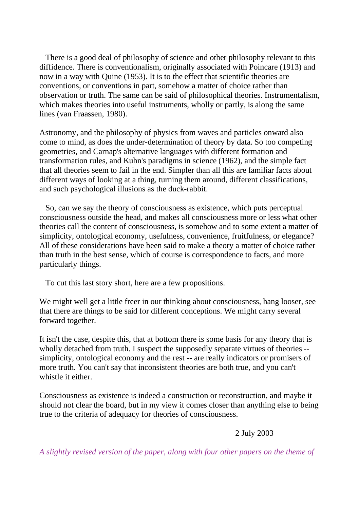There is a good deal of philosophy of science and other philosophy relevant to this diffidence. There is conventionalism, originally associated with Poincare (1913) and now in a way with Quine (1953). It is to the effect that scientific theories are conventions, or conventions in part, somehow a matter of choice rather than observation or truth. The same can be said of philosophical theories. Instrumentalism, which makes theories into useful instruments, wholly or partly, is along the same lines (van Fraassen, 1980).

Astronomy, and the philosophy of physics from waves and particles onward also come to mind, as does the under-determination of theory by data. So too competing geometries, and Carnap's alternative languages with different formation and transformation rules, and Kuhn's paradigms in science (1962), and the simple fact that all theories seem to fail in the end. Simpler than all this are familiar facts about different ways of looking at a thing, turning them around, different classifications, and such psychological illusions as the duck-rabbit.

 So, can we say the theory of consciousness as existence, which puts perceptual consciousness outside the head, and makes all consciousness more or less what other theories call the content of consciousness, is somehow and to some extent a matter of simplicity, ontological economy, usefulness, convenience, fruitfulness, or elegance? All of these considerations have been said to make a theory a matter of choice rather than truth in the best sense, which of course is correspondence to facts, and more particularly things.

To cut this last story short, here are a few propositions.

We might well get a little freer in our thinking about consciousness, hang looser, see that there are things to be said for different conceptions. We might carry several forward together.

It isn't the case, despite this, that at bottom there is some basis for any theory that is wholly detached from truth. I suspect the supposedly separate virtues of theories -simplicity, ontological economy and the rest -- are really indicators or promisers of more truth. You can't say that inconsistent theories are both true, and you can't whistle it either.

Consciousness as existence is indeed a construction or reconstruction, and maybe it should not clear the board, but in my view it comes closer than anything else to being true to the criteria of adequacy for theories of consciousness.

2 July 2003

*A slightly revised version of the paper, along with four other papers on the theme of*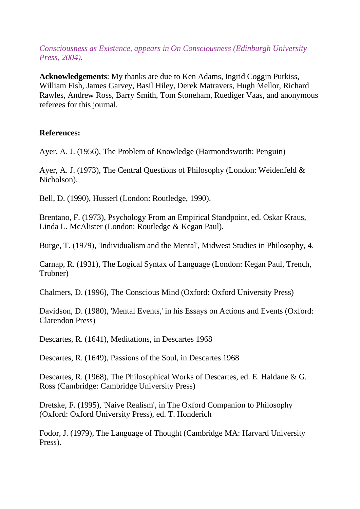*Consciousness as Existence, appears in On Consciousness (Edinburgh University Press, 2004)*.

**Acknowledgements**: My thanks are due to Ken Adams, Ingrid Coggin Purkiss, William Fish, James Garvey, Basil Hiley, Derek Matravers, Hugh Mellor, Richard Rawles, Andrew Ross, Barry Smith, Tom Stoneham, Ruediger Vaas, and anonymous referees for this journal.

# **References:**

Ayer, A. J. (1956), The Problem of Knowledge (Harmondsworth: Penguin)

Ayer, A. J. (1973), The Central Questions of Philosophy (London: Weidenfeld & Nicholson).

Bell, D. (1990), Husserl (London: Routledge, 1990).

Brentano, F. (1973), Psychology From an Empirical Standpoint, ed. Oskar Kraus, Linda L. McAlister (London: Routledge & Kegan Paul).

Burge, T. (1979), 'Individualism and the Mental', Midwest Studies in Philosophy, 4.

Carnap, R. (1931), The Logical Syntax of Language (London: Kegan Paul, Trench, Trubner)

Chalmers, D. (1996), The Conscious Mind (Oxford: Oxford University Press)

Davidson, D. (1980), 'Mental Events,' in his Essays on Actions and Events (Oxford: Clarendon Press)

Descartes, R. (1641), Meditations, in Descartes 1968

Descartes, R. (1649), Passions of the Soul, in Descartes 1968

Descartes, R. (1968), The Philosophical Works of Descartes, ed. E. Haldane & G. Ross (Cambridge: Cambridge University Press)

Dretske, F. (1995), 'Naive Realism', in The Oxford Companion to Philosophy (Oxford: Oxford University Press), ed. T. Honderich

Fodor, J. (1979), The Language of Thought (Cambridge MA: Harvard University Press).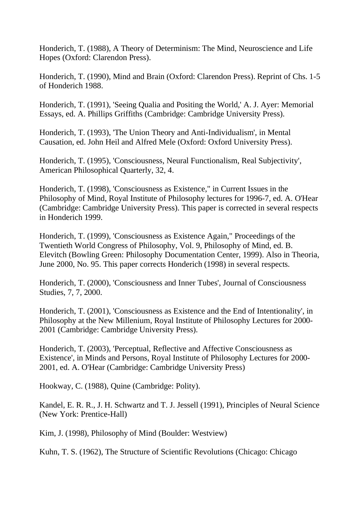Honderich, T. (1988), A Theory of Determinism: The Mind, Neuroscience and Life Hopes (Oxford: Clarendon Press).

Honderich, T. (1990), Mind and Brain (Oxford: Clarendon Press). Reprint of Chs. 1-5 of Honderich 1988.

Honderich, T. (1991), 'Seeing Qualia and Positing the World,' A. J. Ayer: Memorial Essays, ed. A. Phillips Griffiths (Cambridge: Cambridge University Press).

Honderich, T. (1993), 'The Union Theory and Anti-Individualism', in Mental Causation, ed. John Heil and Alfred Mele (Oxford: Oxford University Press).

Honderich, T. (1995), 'Consciousness, Neural Functionalism, Real Subjectivity', American Philosophical Quarterly, 32, 4.

Honderich, T. (1998), 'Consciousness as Existence," in Current Issues in the Philosophy of Mind, Royal Institute of Philosophy lectures for 1996-7, ed. A. O'Hear (Cambridge: Cambridge University Press). This paper is corrected in several respects in Honderich 1999.

Honderich, T. (1999), 'Consciousness as Existence Again," Proceedings of the Twentieth World Congress of Philosophy, Vol. 9, Philosophy of Mind, ed. B. Elevitch (Bowling Green: Philosophy Documentation Center, 1999). Also in Theoria, June 2000, No. 95. This paper corrects Honderich (1998) in several respects.

Honderich, T. (2000), 'Consciousness and Inner Tubes', Journal of Consciousness Studies, 7, 7, 2000.

Honderich, T. (2001), 'Consciousness as Existence and the End of Intentionality', in Philosophy at the New Millenium, Royal Institute of Philosophy Lectures for 2000- 2001 (Cambridge: Cambridge University Press).

Honderich, T. (2003), 'Perceptual, Reflective and Affective Consciousness as Existence', in Minds and Persons, Royal Institute of Philosophy Lectures for 2000- 2001, ed. A. O'Hear (Cambridge: Cambridge University Press)

Hookway, C. (1988), Quine (Cambridge: Polity).

Kandel, E. R. R., J. H. Schwartz and T. J. Jessell (1991), Principles of Neural Science (New York: Prentice-Hall)

Kim, J. (1998), Philosophy of Mind (Boulder: Westview)

Kuhn, T. S. (1962), The Structure of Scientific Revolutions (Chicago: Chicago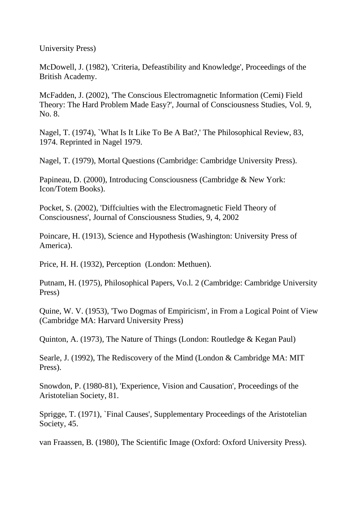University Press)

McDowell, J. (1982), 'Criteria, Defeastibility and Knowledge', Proceedings of the British Academy.

McFadden, J. (2002), 'The Conscious Electromagnetic Information (Cemi) Field Theory: The Hard Problem Made Easy?', Journal of Consciousness Studies, Vol. 9, No. 8.

Nagel, T. (1974), `What Is It Like To Be A Bat?,' The Philosophical Review, 83, 1974. Reprinted in Nagel 1979.

Nagel, T. (1979), Mortal Questions (Cambridge: Cambridge University Press).

Papineau, D. (2000), Introducing Consciousness (Cambridge & New York: Icon/Totem Books).

Pocket, S. (2002), 'Diffciulties with the Electromagnetic Field Theory of Consciousness', Journal of Consciousness Studies, 9, 4, 2002

Poincare, H. (1913), Science and Hypothesis (Washington: University Press of America).

Price, H. H. (1932), Perception (London: Methuen).

Putnam, H. (1975), Philosophical Papers, Vo.l. 2 (Cambridge: Cambridge University Press)

Quine, W. V. (1953), 'Two Dogmas of Empiricism', in From a Logical Point of View (Cambridge MA: Harvard University Press)

Quinton, A. (1973), The Nature of Things (London: Routledge & Kegan Paul)

Searle, J. (1992), The Rediscovery of the Mind (London & Cambridge MA: MIT Press).

Snowdon, P. (1980-81), 'Experience, Vision and Causation', Proceedings of the Aristotelian Society, 81.

Sprigge, T. (1971), `Final Causes', Supplementary Proceedings of the Aristotelian Society, 45.

van Fraassen, B. (1980), The Scientific Image (Oxford: Oxford University Press).